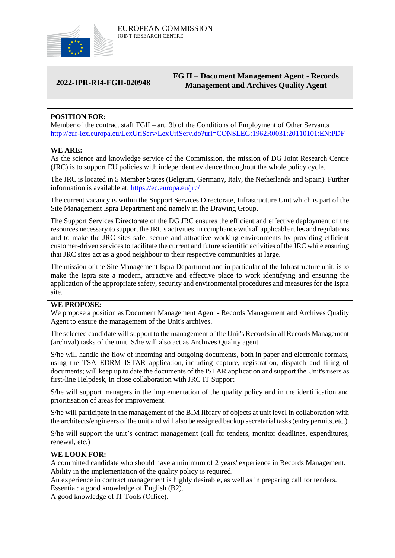

# **2022-IPR-RI4-FGII-020948**

# **FG II – Document Management Agent - Records Management and Archives Quality Agent**

# **POSITION FOR:**

Member of the contract staff FGII – art. 3b of the Conditions of Employment of Other Servants <http://eur-lex.europa.eu/LexUriServ/LexUriServ.do?uri=CONSLEG:1962R0031:20110101:EN:PDF>

### **WE ARE:**

As the science and knowledge service of the Commission, the mission of DG Joint Research Centre (JRC) is to support EU policies with independent evidence throughout the whole policy cycle.

The JRC is located in 5 Member States (Belgium, Germany, Italy, the Netherlands and Spain). Further information is available at: <https://ec.europa.eu/jrc/>

The current vacancy is within the Support Services Directorate, Infrastructure Unit which is part of the Site Management Ispra Department and namely in the Drawing Group.

The Support Services Directorate of the DG JRC ensures the efficient and effective deployment of the resources necessary to support the JRC's activities, in compliance with all applicable rules and regulations and to make the JRC sites safe, secure and attractive working environments by providing efficient customer-driven services to facilitate the current and future scientific activities of the JRC while ensuring that JRC sites act as a good neighbour to their respective communities at large.

The mission of the Site Management Ispra Department and in particular of the Infrastructure unit, is to make the Ispra site a modern, attractive and effective place to work identifying and ensuring the application of the appropriate safety, security and environmental procedures and measures for the Ispra site.

## **WE PROPOSE:**

We propose a position as Document Management Agent - Records Management and Archives Quality Agent to ensure the management of the Unit's archives.

The selected candidate will support to the management of the Unit's Records in all Records Management (archival) tasks of the unit. S/he will also act as Archives Quality agent.

S/he will handle the flow of incoming and outgoing documents, both in paper and electronic formats, using the TSA EDRM ISTAR application, including capture, registration, dispatch and filing of documents; will keep up to date the documents of the ISTAR application and support the Unit's users as first-line Helpdesk, in close collaboration with JRC IT Support

S/he will support managers in the implementation of the quality policy and in the identification and prioritisation of areas for improvement.

S/he will participate in the management of the BIM library of objects at unit level in collaboration with the architects/engineers of the unit and will also be assigned backup secretarial tasks (entry permits, etc.).

S/he will support the unit's contract management (call for tenders, monitor deadlines, expenditures, renewal, etc.)

## **WE LOOK FOR:**

A committed candidate who should have a minimum of 2 years' experience in Records Management. Ability in the implementation of the quality policy is required.

An experience in contract management is highly desirable, as well as in preparing call for tenders. Essential: a good knowledge of English (B2).

A good knowledge of IT Tools (Office).